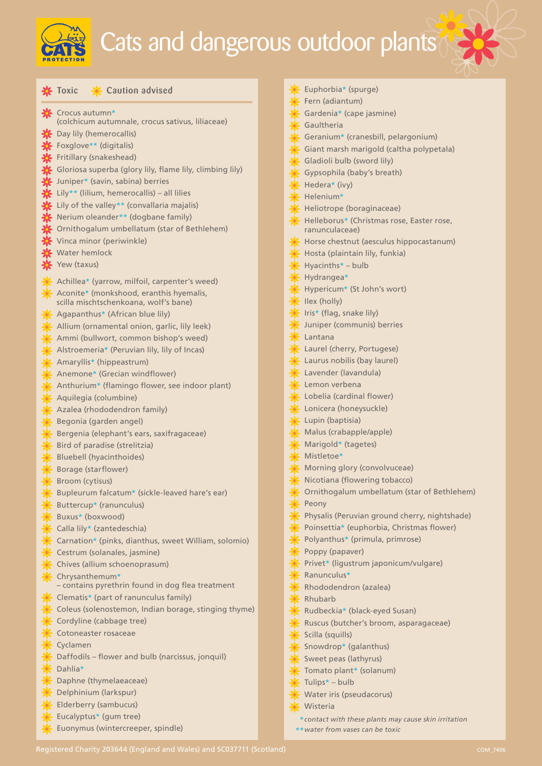

## Cats and dangerous outdoor plants

**X** Crocus autumn\* (colchicum autumnale, crocus sativus, liliaceae) **※** Day lily (hemerocallis)  $\blacktriangleright$  Foxglove\*\* (digitalis) Fritillary (snakeshead) Gloriosa superba (glory lily, flame lily, climbing lily) Juniper\* (savin, sabina) berries Lily\*\* (lilium, hemerocallis) – all lilies  $\blacktriangle$  Lily of the valley\*\* (convallaria majalis) Nerium oleander\*\* (dogbane family) Ornithogalum umbellatum (star of Bethlehem) Vinca minor (periwinkle) Water hemlock Yew (taxus) Achillea\* (yarrow, milfoil, carpenter's weed) Aconite\* (monkshood, eranthis hyemalis, scilla mischtschenkoana, wolf's bane) Agapanthus\* (African blue lily) Allium (ornamental onion, garlic, lily leek) Ammi (bullwort, common bishop's weed) Alstroemeria\* (Peruvian lily, lily of Incas) Amaryllis\* (hippeastrum) Anemone\* (Grecian windflower) Anthurium\* (flamingo flower, see indoor plant) Aquilegia (columbine) Azalea (rhododendron family) Begonia (garden angel) Bergenia (elephant's ears, saxifragaceae) Bird of paradise (strelitzia) Bluebell (hyacinthoides) Borage (starflower) Broom (cytisus) Bupleurum falcatum\* (sickle-leaved hare's ear) Buttercup\* (ranunculus) Buxus\* (boxwood) Calla lily\* (zantedeschia) Carnation\* (pinks, dianthus, sweet William, solomio) Cestrum (solanales, jasmine) Chives (allium schoenoprasum) Chrysanthemum\* *–* contains pyrethrin found in dog flea treatment Clematis\* (part of ranunculus family) Coleus (solenostemon, Indian borage, stinging thyme) Cordyline (cabbage tree) Cotoneaster rosaceae Cyclamen Daffodils – flower and bulb (narcissus, jonquil) Dahlia\* Daphne (thymelaeaceae) Delphinium (larkspur) Elderberry (sambucus) Eucalyptus\* (gum tree)  $\frac{1}{\sqrt{k}}$  Toxic  $\frac{1}{\sqrt{k}}$  Caution advised

Euonymus (wintercreeper, spindle)

|               | Euphorbia* (spurge)                                      |
|---------------|----------------------------------------------------------|
|               | Fern (adiantum)                                          |
|               | Gardenia* (cape jasmine)                                 |
|               | <b>K</b> Gaultheria                                      |
|               | Geranium* (cranesbill, pelargonium)                      |
|               | Giant marsh marigold (caltha polypetala)                 |
|               | Gladioli bulb (sword lily)                               |
|               | Gypsophila (baby's breath)                               |
|               | $*$ Hedera* (ivy)                                        |
|               | Helenium*                                                |
|               | Heliotrope (boraginaceae)                                |
|               | Helleborus* (Christmas rose, Easter rose,                |
|               | ranunculaceae)                                           |
|               | Horse chestnut (aesculus hippocastanum)                  |
|               | Hosta (plaintain lily, funkia)                           |
|               | $*$ Hyacinths <sup>*</sup> – bulb                        |
|               | * Hydrangea*                                             |
|               | Hypericum* (St John's wort)                              |
|               | $\frac{1}{\sqrt{2}}$ Ilex (holly)                        |
|               | K Iris* (flag, snake lily)                               |
|               | Juniper (communis) berries<br>$*$ Lantana                |
|               | Laurel (cherry, Portugese)                               |
|               |                                                          |
|               | Laurus nobilis (bay laurel)<br>Lavender (lavandula)      |
|               | Lemon verbena                                            |
|               | Lobelia (cardinal flower)                                |
|               | <b>X</b> Lonicera (honeysuckle)                          |
|               |                                                          |
|               | X Lupin (baptisia)<br>X Malus (crabapple/apple)          |
|               | Marigold* (tagetes)                                      |
|               | Mistletoe*                                               |
|               | <b>X</b> Morning glory (convolvuceae)                    |
| $\frac{1}{2}$ | Nicotiana (flowering tobacco)                            |
|               | Ornithogalum umbellatum (star of Bethlehem)              |
|               | * Peony                                                  |
|               | Physalis (Peruvian ground cherry, nightshade)            |
|               | Poinsettia* (euphorbia, Christmas flower)                |
|               | Polyanthus* (primula, primrose)                          |
|               | Poppy (papaver)<br>Privet* (ligustrum japonicum/vulgare) |
|               |                                                          |
|               | <b>*</b> Ranunculus*                                     |
|               | <b>X</b> Rhododendron (azalea)<br><b>*</b> Rhubarb       |
|               | Rudbeckia* (black-eyed Susan)                            |
|               | * Ruscus (butcher's broom, asparagaceae)                 |
|               | Scilla (squills)                                         |
|               | Snowdrop* (galanthus)                                    |
|               | Sweet peas (lathyrus)                                    |
|               | Tomato plant* (solanum)                                  |
|               | $\frac{1}{2}$ Tulips* – bulb                             |
|               |                                                          |

- Water iris (pseudacorus)
- Wisteria
- *contact with these plants may cause skin irritation* \*
- *water from vases can be toxic* \*\*